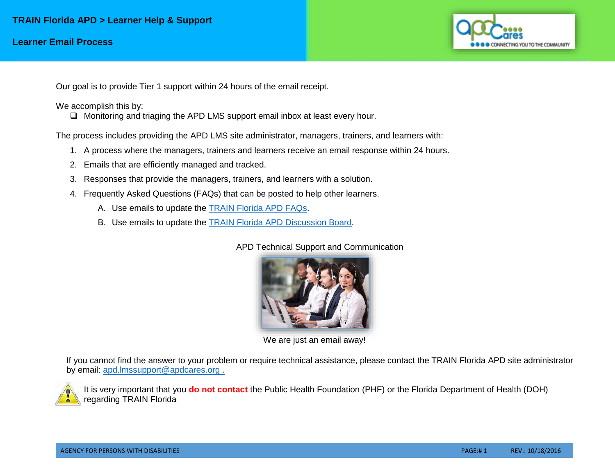

Our goal is to provide Tier 1 support within 24 hours of the email receipt.

We accomplish this by:

 $\Box$  Monitoring and triaging the APD LMS support email inbox at least every hour.

The process includes providing the APD LMS site administrator, managers, trainers, and learners with:

- 1. A process where the managers, trainers and learners receive an email response within 24 hours.
- 2. Emails that are efficiently managed and tracked.
- 3. Responses that provide the managers, trainers, and learners with a solution.
- 4. Frequently Asked Questions (FAQs) that can be posted to help other learners.
	- A. Use emails to update the [TRAIN Florida APD FAQs.](http://apdcares.org/providers/training/docs/apd-learner-faqs.pdf)
	- B. Use emails to update the [TRAIN Florida APD Discussion Board.](http://apdcares.org/providers/training/docs/apd-discussion-board.pdf)

APD Technical Support and Communication



We are just an email away!

If you cannot find the answer to your problem or require technical assistance, please contact the TRAIN Florida APD site administrator by email: [apd.lmssupport@apdcares.org](mailto:apd.lmssupport@apdcares.org) .



It is very important that you **do not contact** the Public Health Foundation (PHF) or the Florida Department of Health (DOH) regarding TRAIN Florida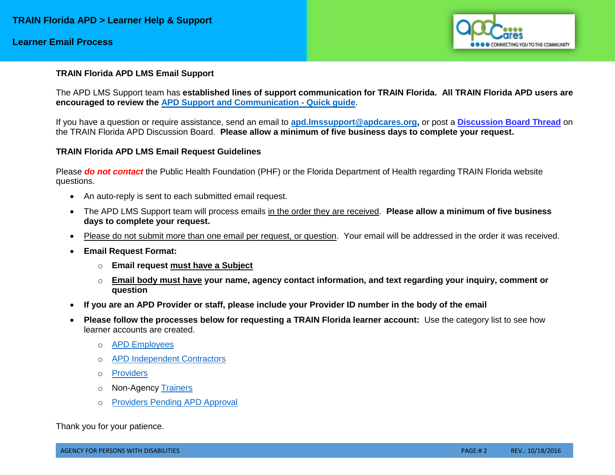## **Learner Email Process**



#### **TRAIN Florida APD LMS Email Support**

The APD LMS Support team has **established lines of support communication for TRAIN Florida. All TRAIN Florida APD users are encouraged to review the [APD Support and Communication -](http://apdcares.org/providers/training/docs/apd-lms-support-comm-quickguide.pdf) Quick guide**.

If you have a question or require assistance, send an email to **[apd.lmssupport@apdcares.org,](mailto:apd.lmssupport@apdcares.org)** or post a **[Discussion Board Thread](http://apdcares.org/providers/training/docs/apd-discussion-board.pdf)** on the TRAIN Florida APD Discussion Board. **Please allow a minimum of five business days to complete your request.**

#### **TRAIN Florida APD LMS Email Request Guidelines**

Please *do not contact* the Public Health Foundation (PHF) or the Florida Department of Health regarding TRAIN Florida website questions.

- An auto-reply is sent to each submitted email request.
- The APD LMS Support team will process emails in the order they are received. **Please allow a minimum of five business days to complete your request.**
- Please do not submit more than one email per request, or question. Your email will be addressed in the order it was received.
- **Email Request Format:** 
	- o **Email request must have a Subject**
	- o **Email body must have your name, agency contact information, and text regarding your inquiry, comment or question**
- **If you are an APD Provider or staff, please include your Provider ID number in the body of the email**
- **Please follow the processes below for requesting a TRAIN Florida learner account:** Use the category list to see how learner accounts are created.
	- o [APD Employees](http://apdcares.org/providers/training/docs/apd-emp-register-train.pdf)
	- o [APD Independent Contractors](http://apdcares.org/providers/training/docs/apd-independent-contractor-register-train.pdf)
	- o [Providers](http://apdcares.org/providers/training/docs/apd-provider-register-train.pdf)
	- o Non-Agency [Trainers](http://apdcares.org/providers/training/docs/apd-trainer-register-train.pdf)
	- o [Providers Pending APD Approval](http://apdcares.org/providers/training/docs/apd-pend-provider-register-train.pdf)

Thank you for your patience.